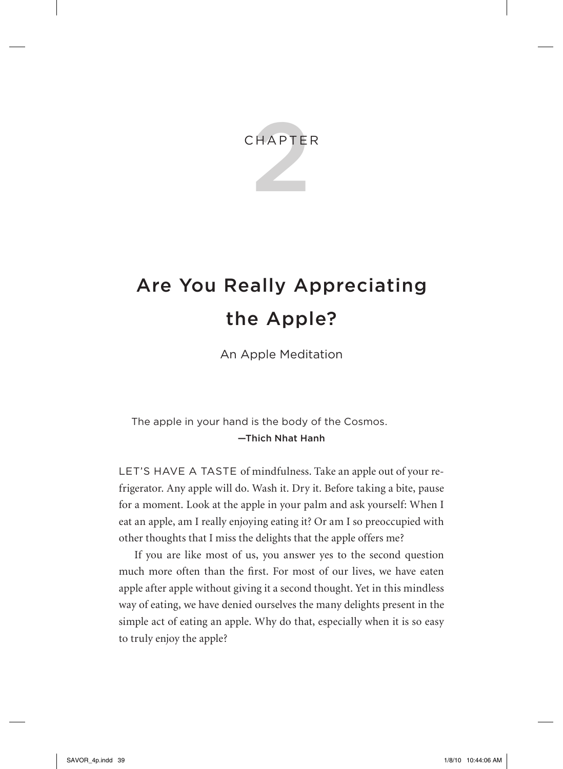

## Are You Really Appreciating the Apple?

An Apple Meditation

The apple in your hand is the body of the Cosmos. —Thich Nhat Hanh

LET'S HAVE A TASTE of mindfulness. Take an apple out of your refrigerator. Any apple will do. Wash it. Dry it. Before taking a bite, pause for a moment. Look at the apple in your palm and ask yourself: When I eat an apple, am I really enjoying eating it? Or am I so preoccupied with other thoughts that I miss the delights that the apple offers me?

If you are like most of us, you answer yes to the second question much more often than the first. For most of our lives, we have eaten apple after apple without giving it a second thought. Yet in this mindless way of eating, we have denied ourselves the many delights present in the simple act of eating an apple. Why do that, especially when it is so easy to truly enjoy the apple?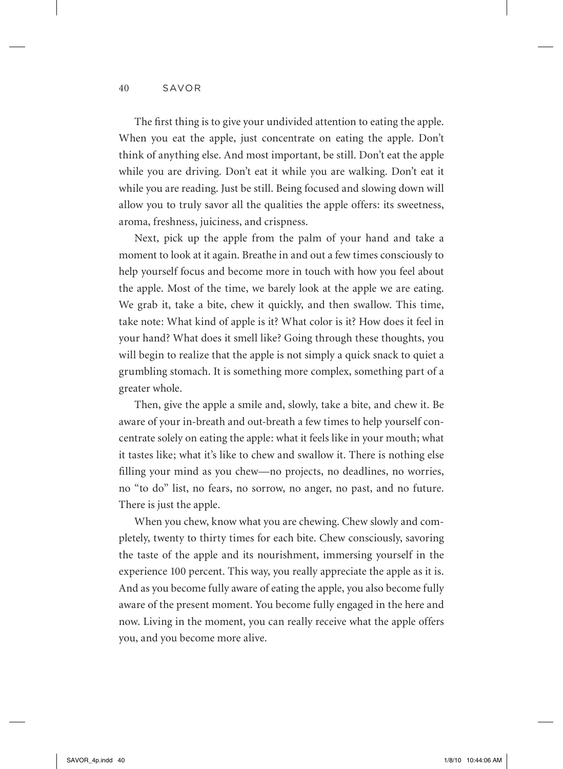The first thing is to give your undivided attention to eating the apple. When you eat the apple, just concentrate on eating the apple. Don't think of anything else. And most important, be still. Don't eat the apple while you are driving. Don't eat it while you are walking. Don't eat it while you are reading. Just be still. Being focused and slowing down will allow you to truly savor all the qualities the apple offers: its sweetness, aroma, freshness, juiciness, and crispness.

Next, pick up the apple from the palm of your hand and take a moment to look at it again. Breathe in and out a few times consciously to help yourself focus and become more in touch with how you feel about the apple. Most of the time, we barely look at the apple we are eating. We grab it, take a bite, chew it quickly, and then swallow. This time, take note: What kind of apple is it? What color is it? How does it feel in your hand? What does it smell like? Going through these thoughts, you will begin to realize that the apple is not simply a quick snack to quiet a grumbling stomach. It is something more complex, something part of a greater whole.

Then, give the apple a smile and, slowly, take a bite, and chew it. Be aware of your in-breath and out-breath a few times to help yourself concentrate solely on eating the apple: what it feels like in your mouth; what it tastes like; what it's like to chew and swallow it. There is nothing else filling your mind as you chew—no projects, no deadlines, no worries, no "to do" list, no fears, no sorrow, no anger, no past, and no future. There is just the apple.

When you chew, know what you are chewing. Chew slowly and completely, twenty to thirty times for each bite. Chew consciously, savoring the taste of the apple and its nourishment, immersing yourself in the experience 100 percent. This way, you really appreciate the apple as it is. And as you become fully aware of eating the apple, you also become fully aware of the present moment. You become fully engaged in the here and now. Living in the moment, you can really receive what the apple offers you, and you become more alive.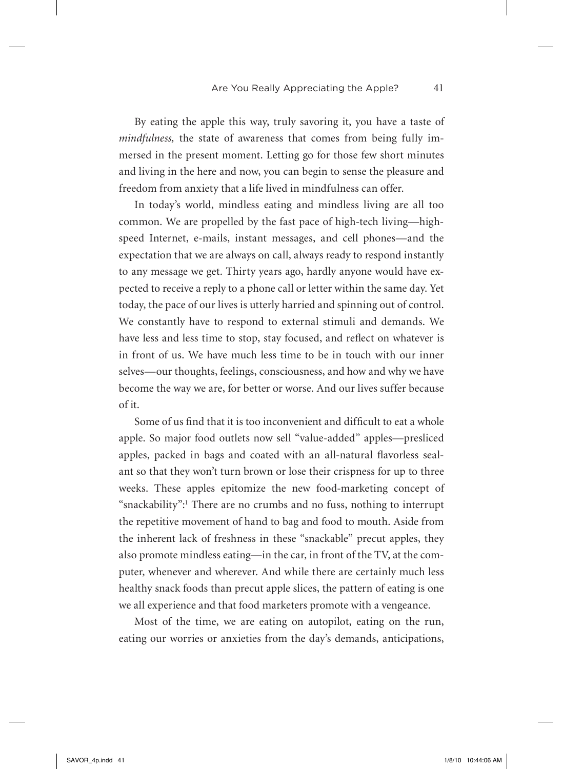By eating the apple this way, truly savoring it, you have a taste of *mindfulness,* the state of awareness that comes from being fully immersed in the present moment. Letting go for those few short minutes and living in the here and now, you can begin to sense the pleasure and freedom from anxiety that a life lived in mindfulness can offer.

In today's world, mindless eating and mindless living are all too common. We are propelled by the fast pace of high-tech living—highspeed Internet, e-mails, instant messages, and cell phones—and the expectation that we are always on call, always ready to respond instantly to any message we get. Thirty years ago, hardly anyone would have expected to receive a reply to a phone call or letter within the same day. Yet today, the pace of our lives is utterly harried and spinning out of control. We constantly have to respond to external stimuli and demands. We have less and less time to stop, stay focused, and reflect on whatever is in front of us. We have much less time to be in touch with our inner selves—our thoughts, feelings, consciousness, and how and why we have become the way we are, for better or worse. And our lives suffer because of it.

Some of us find that it is too inconvenient and difficult to eat a whole apple. So major food outlets now sell "value-added" apples—presliced apples, packed in bags and coated with an all-natural flavorless sealant so that they won't turn brown or lose their crispness for up to three weeks. These apples epitomize the new food-marketing concept of "snackability":1 There are no crumbs and no fuss, nothing to interrupt the repetitive movement of hand to bag and food to mouth. Aside from the inherent lack of freshness in these "snackable" precut apples, they also promote mindless eating—in the car, in front of the TV, at the computer, whenever and wherever. And while there are certainly much less healthy snack foods than precut apple slices, the pattern of eating is one we all experience and that food marketers promote with a vengeance.

Most of the time, we are eating on autopilot, eating on the run, eating our worries or anxieties from the day's demands, anticipations,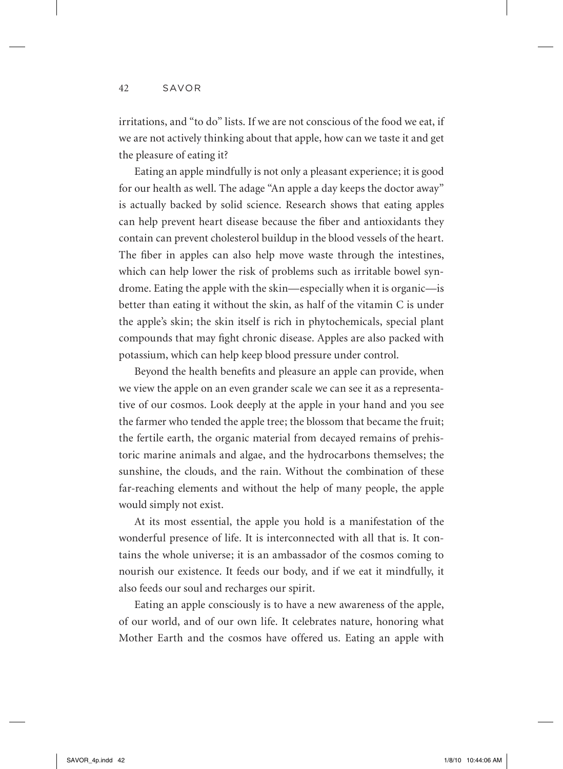irritations, and "to do" lists. If we are not conscious of the food we eat, if we are not actively thinking about that apple, how can we taste it and get the pleasure of eating it?

Eating an apple mindfully is not only a pleasant experience; it is good for our health as well. The adage "An apple a day keeps the doctor away" is actually backed by solid science. Research shows that eating apples can help prevent heart disease because the fiber and antioxidants they contain can prevent cholesterol buildup in the blood vessels of the heart. The fiber in apples can also help move waste through the intestines, which can help lower the risk of problems such as irritable bowel syndrome. Eating the apple with the skin—especially when it is organic—is better than eating it without the skin, as half of the vitamin C is under the apple's skin; the skin itself is rich in phytochemicals, special plant compounds that may fight chronic disease. Apples are also packed with potassium, which can help keep blood pressure under control.

Beyond the health benefits and pleasure an apple can provide, when we view the apple on an even grander scale we can see it as a representative of our cosmos. Look deeply at the apple in your hand and you see the farmer who tended the apple tree; the blossom that became the fruit; the fertile earth, the organic material from decayed remains of prehistoric marine animals and algae, and the hydrocarbons themselves; the sunshine, the clouds, and the rain. Without the combination of these far-reaching elements and without the help of many people, the apple would simply not exist.

At its most essential, the apple you hold is a manifestation of the wonderful presence of life. It is interconnected with all that is. It contains the whole universe; it is an ambassador of the cosmos coming to nourish our existence. It feeds our body, and if we eat it mindfully, it also feeds our soul and recharges our spirit.

Eating an apple consciously is to have a new awareness of the apple, of our world, and of our own life. It celebrates nature, honoring what Mother Earth and the cosmos have offered us. Eating an apple with